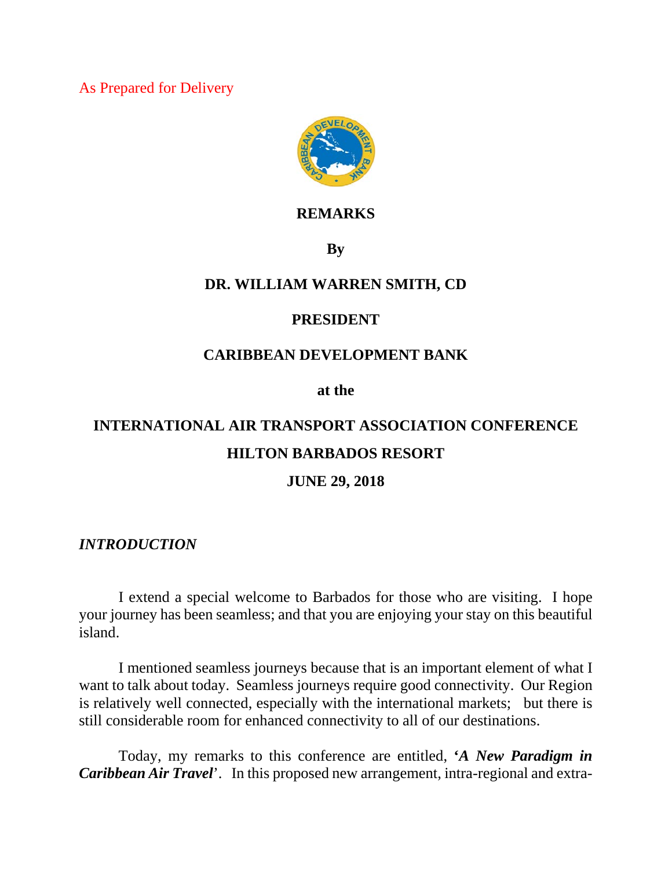As Prepared for Delivery



### **REMARKS**

**By**

## **DR. WILLIAM WARREN SMITH, CD**

#### **PRESIDENT**

## **CARIBBEAN DEVELOPMENT BANK**

**at the** 

# **INTERNATIONAL AIR TRANSPORT ASSOCIATION CONFERENCE HILTON BARBADOS RESORT**

#### **JUNE 29, 2018**

#### *INTRODUCTION*

I extend a special welcome to Barbados for those who are visiting. I hope your journey has been seamless; and that you are enjoying your stay on this beautiful island.

I mentioned seamless journeys because that is an important element of what I want to talk about today. Seamless journeys require good connectivity. Our Region is relatively well connected, especially with the international markets; but there is still considerable room for enhanced connectivity to all of our destinations.

Today, my remarks to this conference are entitled, **'***A New Paradigm in Caribbean Air Travel*'. In this proposed new arrangement, intra-regional and extra-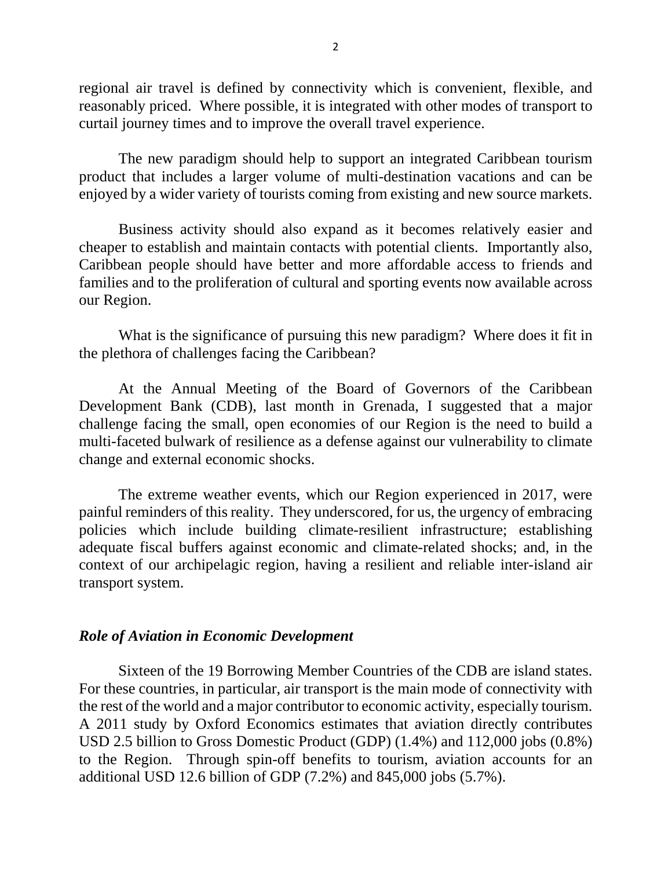regional air travel is defined by connectivity which is convenient, flexible, and reasonably priced. Where possible, it is integrated with other modes of transport to curtail journey times and to improve the overall travel experience.

The new paradigm should help to support an integrated Caribbean tourism product that includes a larger volume of multi-destination vacations and can be enjoyed by a wider variety of tourists coming from existing and new source markets.

Business activity should also expand as it becomes relatively easier and cheaper to establish and maintain contacts with potential clients. Importantly also, Caribbean people should have better and more affordable access to friends and families and to the proliferation of cultural and sporting events now available across our Region.

What is the significance of pursuing this new paradigm? Where does it fit in the plethora of challenges facing the Caribbean?

At the Annual Meeting of the Board of Governors of the Caribbean Development Bank (CDB), last month in Grenada, I suggested that a major challenge facing the small, open economies of our Region is the need to build a multi-faceted bulwark of resilience as a defense against our vulnerability to climate change and external economic shocks.

The extreme weather events, which our Region experienced in 2017, were painful reminders of this reality. They underscored, for us, the urgency of embracing policies which include building climate-resilient infrastructure; establishing adequate fiscal buffers against economic and climate-related shocks; and, in the context of our archipelagic region, having a resilient and reliable inter-island air transport system.

#### *Role of Aviation in Economic Development*

Sixteen of the 19 Borrowing Member Countries of the CDB are island states. For these countries, in particular, air transport is the main mode of connectivity with the rest of the world and a major contributor to economic activity, especially tourism. A 2011 study by Oxford Economics estimates that aviation directly contributes USD 2.5 billion to Gross Domestic Product (GDP) (1.4%) and 112,000 jobs (0.8%) to the Region. Through spin-off benefits to tourism, aviation accounts for an additional USD 12.6 billion of GDP (7.2%) and 845,000 jobs (5.7%).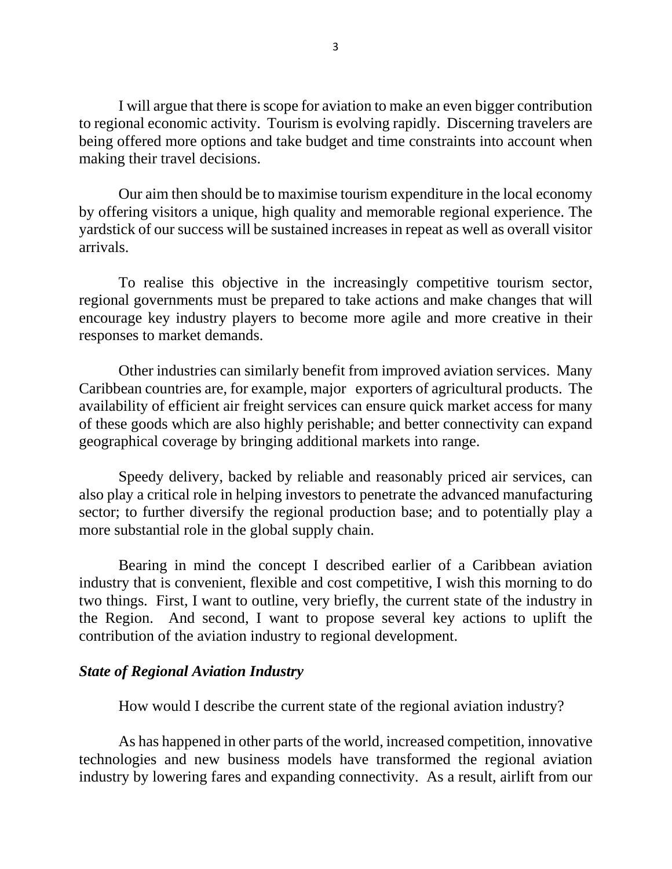I will argue that there is scope for aviation to make an even bigger contribution to regional economic activity. Tourism is evolving rapidly. Discerning travelers are being offered more options and take budget and time constraints into account when making their travel decisions.

Our aim then should be to maximise tourism expenditure in the local economy by offering visitors a unique, high quality and memorable regional experience. The yardstick of our success will be sustained increases in repeat as well as overall visitor arrivals.

To realise this objective in the increasingly competitive tourism sector, regional governments must be prepared to take actions and make changes that will encourage key industry players to become more agile and more creative in their responses to market demands.

Other industries can similarly benefit from improved aviation services. Many Caribbean countries are, for example, major exporters of agricultural products. The availability of efficient air freight services can ensure quick market access for many of these goods which are also highly perishable; and better connectivity can expand geographical coverage by bringing additional markets into range.

Speedy delivery, backed by reliable and reasonably priced air services, can also play a critical role in helping investors to penetrate the advanced manufacturing sector; to further diversify the regional production base; and to potentially play a more substantial role in the global supply chain.

Bearing in mind the concept I described earlier of a Caribbean aviation industry that is convenient, flexible and cost competitive, I wish this morning to do two things. First, I want to outline, very briefly, the current state of the industry in the Region. And second, I want to propose several key actions to uplift the contribution of the aviation industry to regional development.

#### *State of Regional Aviation Industry*

How would I describe the current state of the regional aviation industry?

As has happened in other parts of the world, increased competition, innovative technologies and new business models have transformed the regional aviation industry by lowering fares and expanding connectivity. As a result, airlift from our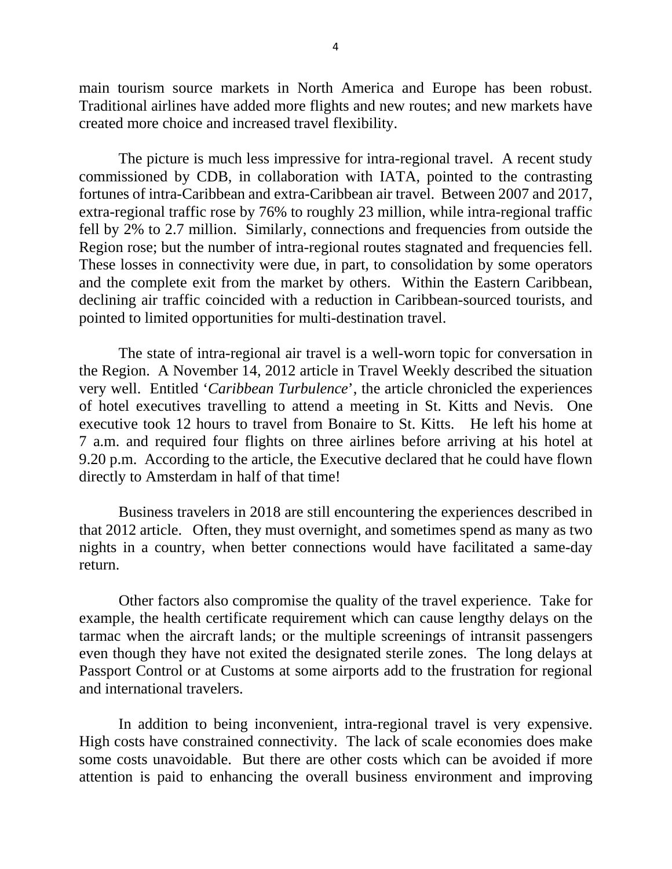main tourism source markets in North America and Europe has been robust. Traditional airlines have added more flights and new routes; and new markets have created more choice and increased travel flexibility.

The picture is much less impressive for intra-regional travel. A recent study commissioned by CDB, in collaboration with IATA, pointed to the contrasting fortunes of intra-Caribbean and extra-Caribbean air travel. Between 2007 and 2017, extra-regional traffic rose by 76% to roughly 23 million, while intra-regional traffic fell by 2% to 2.7 million. Similarly, connections and frequencies from outside the Region rose; but the number of intra-regional routes stagnated and frequencies fell. These losses in connectivity were due, in part, to consolidation by some operators and the complete exit from the market by others. Within the Eastern Caribbean, declining air traffic coincided with a reduction in Caribbean-sourced tourists, and pointed to limited opportunities for multi-destination travel.

The state of intra-regional air travel is a well-worn topic for conversation in the Region. A November 14, 2012 article in Travel Weekly described the situation very well. Entitled '*Caribbean Turbulence*', the article chronicled the experiences of hotel executives travelling to attend a meeting in St. Kitts and Nevis. One executive took 12 hours to travel from Bonaire to St. Kitts. He left his home at 7 a.m. and required four flights on three airlines before arriving at his hotel at 9.20 p.m. According to the article, the Executive declared that he could have flown directly to Amsterdam in half of that time!

Business travelers in 2018 are still encountering the experiences described in that 2012 article. Often, they must overnight, and sometimes spend as many as two nights in a country, when better connections would have facilitated a same-day return.

Other factors also compromise the quality of the travel experience. Take for example, the health certificate requirement which can cause lengthy delays on the tarmac when the aircraft lands; or the multiple screenings of intransit passengers even though they have not exited the designated sterile zones. The long delays at Passport Control or at Customs at some airports add to the frustration for regional and international travelers.

In addition to being inconvenient, intra-regional travel is very expensive. High costs have constrained connectivity. The lack of scale economies does make some costs unavoidable. But there are other costs which can be avoided if more attention is paid to enhancing the overall business environment and improving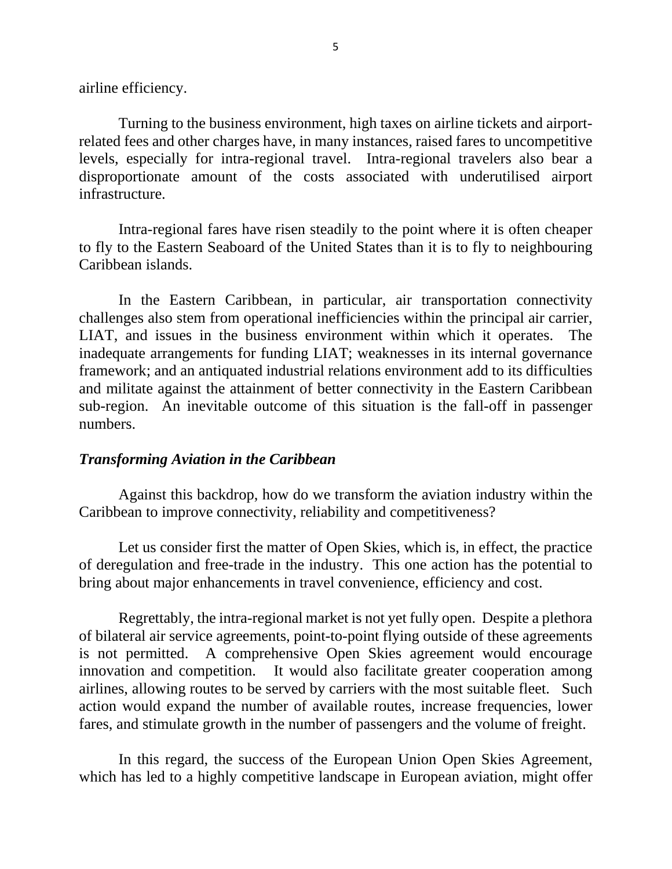airline efficiency.

Turning to the business environment, high taxes on airline tickets and airportrelated fees and other charges have, in many instances, raised fares to uncompetitive levels, especially for intra-regional travel. Intra-regional travelers also bear a disproportionate amount of the costs associated with underutilised airport infrastructure.

Intra-regional fares have risen steadily to the point where it is often cheaper to fly to the Eastern Seaboard of the United States than it is to fly to neighbouring Caribbean islands.

In the Eastern Caribbean, in particular, air transportation connectivity challenges also stem from operational inefficiencies within the principal air carrier, LIAT, and issues in the business environment within which it operates. The inadequate arrangements for funding LIAT; weaknesses in its internal governance framework; and an antiquated industrial relations environment add to its difficulties and militate against the attainment of better connectivity in the Eastern Caribbean sub-region. An inevitable outcome of this situation is the fall-off in passenger numbers.

#### *Transforming Aviation in the Caribbean*

Against this backdrop, how do we transform the aviation industry within the Caribbean to improve connectivity, reliability and competitiveness?

Let us consider first the matter of Open Skies, which is, in effect, the practice of deregulation and free-trade in the industry. This one action has the potential to bring about major enhancements in travel convenience, efficiency and cost.

Regrettably, the intra-regional market is not yet fully open. Despite a plethora of bilateral air service agreements, point-to-point flying outside of these agreements is not permitted. A comprehensive Open Skies agreement would encourage innovation and competition. It would also facilitate greater cooperation among airlines, allowing routes to be served by carriers with the most suitable fleet. Such action would expand the number of available routes, increase frequencies, lower fares, and stimulate growth in the number of passengers and the volume of freight.

In this regard, the success of the European Union Open Skies Agreement, which has led to a highly competitive landscape in European aviation, might offer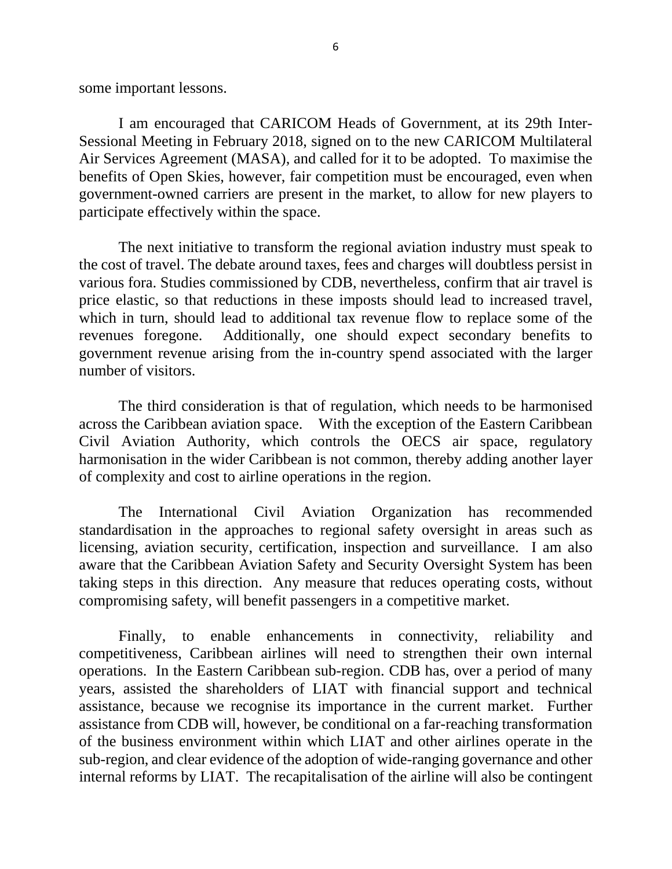some important lessons.

I am encouraged that CARICOM Heads of Government, at its 29th Inter-Sessional Meeting in February 2018, signed on to the new CARICOM Multilateral Air Services Agreement (MASA), and called for it to be adopted. To maximise the benefits of Open Skies, however, fair competition must be encouraged, even when government-owned carriers are present in the market, to allow for new players to participate effectively within the space.

The next initiative to transform the regional aviation industry must speak to the cost of travel. The debate around taxes, fees and charges will doubtless persist in various fora. Studies commissioned by CDB, nevertheless, confirm that air travel is price elastic, so that reductions in these imposts should lead to increased travel, which in turn, should lead to additional tax revenue flow to replace some of the revenues foregone. Additionally, one should expect secondary benefits to government revenue arising from the in-country spend associated with the larger number of visitors.

The third consideration is that of regulation, which needs to be harmonised across the Caribbean aviation space. With the exception of the Eastern Caribbean Civil Aviation Authority, which controls the OECS air space, regulatory harmonisation in the wider Caribbean is not common, thereby adding another layer of complexity and cost to airline operations in the region.

The International Civil Aviation Organization has recommended standardisation in the approaches to regional safety oversight in areas such as licensing, aviation security, certification, inspection and surveillance. I am also aware that the Caribbean Aviation Safety and Security Oversight System has been taking steps in this direction. Any measure that reduces operating costs, without compromising safety, will benefit passengers in a competitive market.

Finally, to enable enhancements in connectivity, reliability and competitiveness, Caribbean airlines will need to strengthen their own internal operations. In the Eastern Caribbean sub-region. CDB has, over a period of many years, assisted the shareholders of LIAT with financial support and technical assistance, because we recognise its importance in the current market. Further assistance from CDB will, however, be conditional on a far-reaching transformation of the business environment within which LIAT and other airlines operate in the sub-region, and clear evidence of the adoption of wide-ranging governance and other internal reforms by LIAT. The recapitalisation of the airline will also be contingent